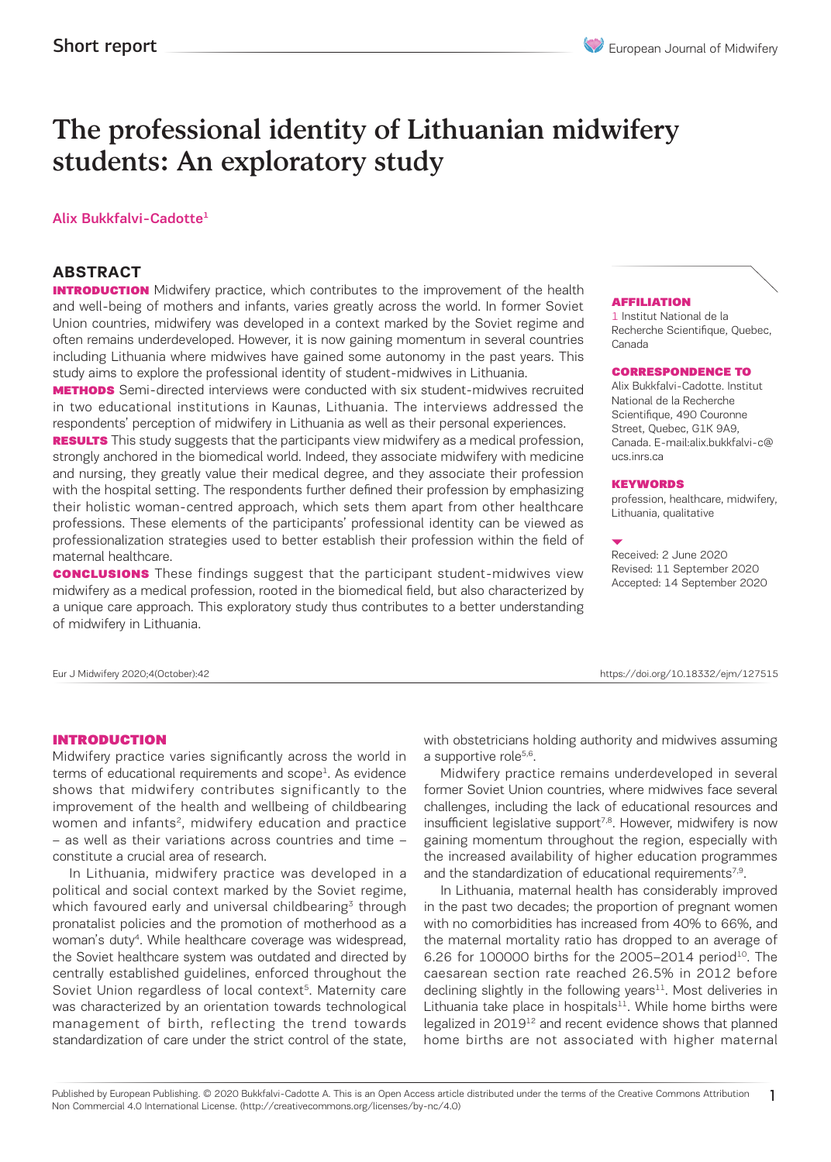# The professional identity of Lithuanian midwifery students: An exploratory study

#### Alix Bukkfalvi-Cadotte1

## **ABSTRACT**

**INTRODUCTION** Midwifery practice, which contributes to the improvement of the health and well-being of mothers and infants, varies greatly across the world. In former Soviet Union countries, midwifery was developed in a context marked by the Soviet regime and often remains underdeveloped. However, it is now gaining momentum in several countries including Lithuania where midwives have gained some autonomy in the past years. This study aims to explore the professional identity of student-midwives in Lithuania.

**METHODS** Semi-directed interviews were conducted with six student-midwives recruited in two educational institutions in Kaunas, Lithuania. The interviews addressed the respondents' perception of midwifery in Lithuania as well as their personal experiences.

**RESULTS** This study suggests that the participants view midwifery as a medical profession, strongly anchored in the biomedical world. Indeed, they associate midwifery with medicine and nursing, they greatly value their medical degree, and they associate their profession with the hospital setting. The respondents further defined their profession by emphasizing their holistic woman-centred approach, which sets them apart from other healthcare professions. These elements of the participants' professional identity can be viewed as professionalization strategies used to better establish their profession within the field of maternal healthcare.

**CONCLUSIONS** These findings suggest that the participant student-midwives view midwifery as a medical profession, rooted in the biomedical field, but also characterized by a unique care approach. This exploratory study thus contributes to a better understanding of midwifery in Lithuania.

Eur J Midwifery 2020;4(October):42 https://doi.org/10.18332/ejm/127515

#### **AFFILIATION**

1 Institut National de la Recherche Scientifique, Quebec, Canada

#### CORRESPONDENCE TO

Alix Bukkfalvi-Cadotte. Institut National de la Recherche Scientifique, 490 Couronne Street, Quebec, G1K 9A9, Canada. E-mail:alix.bukkfalvi-c@ ucs.inrs.ca

#### **KEYWORDS**

profession, healthcare, midwifery, Lithuania, qualitative

Received: 2 June 2020 Revised: 11 September 2020 Accepted: 14 September 2020

1

#### INTRODUCTION

Midwifery practice varies significantly across the world in terms of educational requirements and scope<sup>1</sup>. As evidence shows that midwifery contributes significantly to the improvement of the health and wellbeing of childbearing women and infants<sup>2</sup>, midwifery education and practice – as well as their variations across countries and time – constitute a crucial area of research.

In Lithuania, midwifery practice was developed in a political and social context marked by the Soviet regime, which favoured early and universal childbearing<sup>3</sup> through pronatalist policies and the promotion of motherhood as a woman's duty4. While healthcare coverage was widespread, the Soviet healthcare system was outdated and directed by centrally established guidelines, enforced throughout the Soviet Union regardless of local context<sup>5</sup>. Maternity care was characterized by an orientation towards technological management of birth, reflecting the trend towards standardization of care under the strict control of the state,

with obstetricians holding authority and midwives assuming a supportive role<sup>5,6</sup>.

Midwifery practice remains underdeveloped in several former Soviet Union countries, where midwives face several challenges, including the lack of educational resources and insufficient legislative support<sup>7,8</sup>. However, midwifery is now gaining momentum throughout the region, especially with the increased availability of higher education programmes and the standardization of educational requirements $7.9$ .

In Lithuania, maternal health has considerably improved in the past two decades; the proportion of pregnant women with no comorbidities has increased from 40% to 66%, and the maternal mortality ratio has dropped to an average of 6.26 for 100000 births for the 2005-2014 period<sup>10</sup>. The caesarean section rate reached 26.5% in 2012 before declining slightly in the following years $11$ . Most deliveries in Lithuania take place in hospitals $11$ . While home births were legalized in 2019<sup>12</sup> and recent evidence shows that planned home births are not associated with higher maternal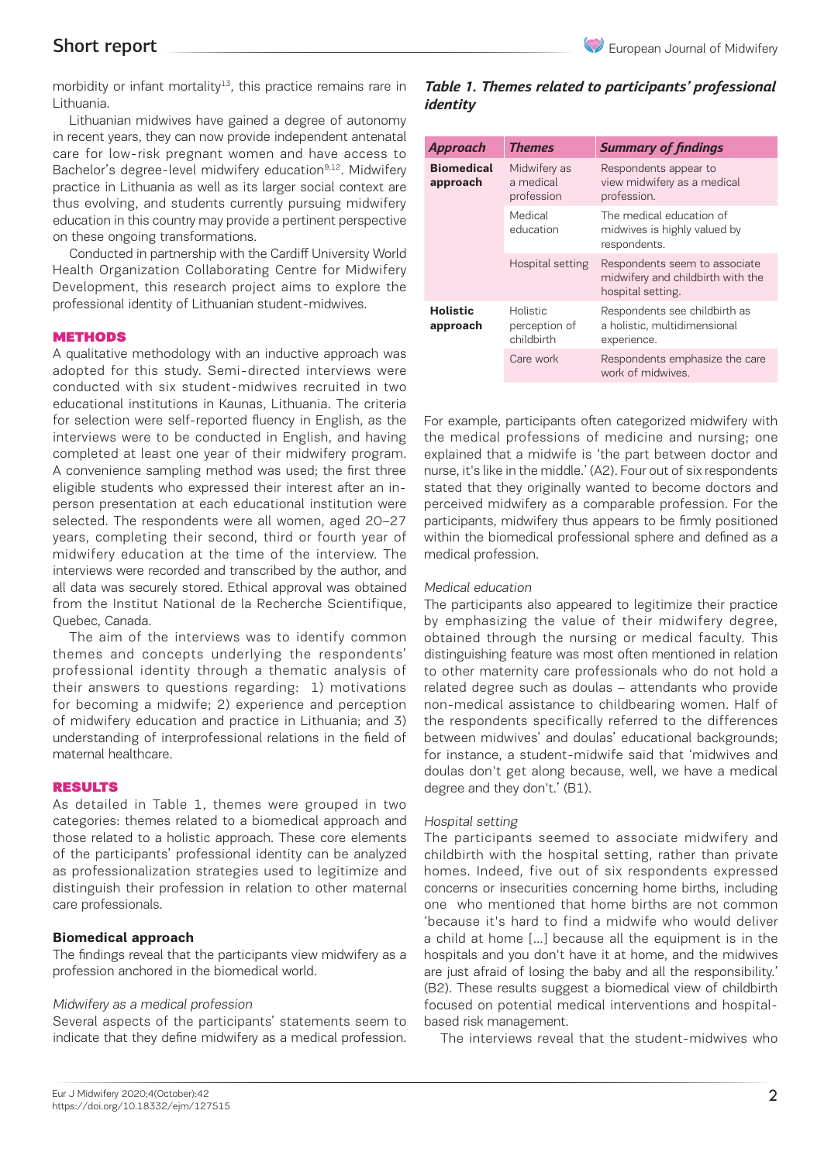morbidity or infant mortality<sup>13</sup>, this practice remains rare in Lithuania.

Lithuanian midwives have gained a degree of autonomy in recent years, they can now provide independent antenatal care for low-risk pregnant women and have access to Bachelor's degree-level midwifery education<sup>9,12</sup>. Midwifery practice in Lithuania as well as its larger social context are thus evolving, and students currently pursuing midwifery education in this country may provide a pertinent perspective on these ongoing transformations.

Conducted in partnership with the Cardiff University World Health Organization Collaborating Centre for Midwifery Development, this research project aims to explore the professional identity of Lithuanian student-midwives.

#### **METHODS**

A qualitative methodology with an inductive approach was adopted for this study. Semi-directed interviews were conducted with six student-midwives recruited in two educational institutions in Kaunas, Lithuania. The criteria for selection were self-reported fluency in English, as the interviews were to be conducted in English, and having completed at least one year of their midwifery program. A convenience sampling method was used; the first three eligible students who expressed their interest after an inperson presentation at each educational institution were selected. The respondents were all women, aged 20–27 years, completing their second, third or fourth year of midwifery education at the time of the interview. The interviews were recorded and transcribed by the author, and all data was securely stored. Ethical approval was obtained from the Institut National de la Recherche Scientifique, Quebec, Canada.

The aim of the interviews was to identify common themes and concepts underlying the respondents' professional identity through a thematic analysis of their answers to questions regarding: 1) motivations for becoming a midwife; 2) experience and perception of midwifery education and practice in Lithuania; and 3) understanding of interprofessional relations in the field of maternal healthcare.

#### RESULTS

As detailed in Table 1, themes were grouped in two categories: themes related to a biomedical approach and those related to a holistic approach. These core elements of the participants' professional identity can be analyzed as professionalization strategies used to legitimize and distinguish their profession in relation to other maternal care professionals.

## **Biomedical approach**

The findings reveal that the participants view midwifery as a profession anchored in the biomedical world.

#### Midwifery as a medical profession

Several aspects of the participants' statements seem to indicate that they define midwifery as a medical profession.

## *Table 1. Themes related to participants' professional identity*

| Approach                      | <b>Themes</b>                                  | <b>Summary of findings</b>                                                              |
|-------------------------------|------------------------------------------------|-----------------------------------------------------------------------------------------|
| <b>Biomedical</b><br>approach | Midwifery as<br>a medical<br>profession        | Respondents appear to<br>view midwifery as a medical<br>profession.                     |
|                               | Medical<br>education                           | The medical education of<br>midwives is highly valued by<br>respondents.                |
|                               | Hospital setting                               | Respondents seem to associate<br>midwifery and childbirth with the<br>hospital setting. |
| <b>Holistic</b><br>approach   | <b>Holistic</b><br>perception of<br>childbirth | Respondents see childbirth as<br>a holistic, multidimensional<br>experience.            |
|                               | Care work                                      | Respondents emphasize the care<br>work of midwives.                                     |

For example, participants often categorized midwifery with the medical professions of medicine and nursing; one explained that a midwife is 'the part between doctor and nurse, it's like in the middle.' (A2). Four out of six respondents stated that they originally wanted to become doctors and perceived midwifery as a comparable profession. For the participants, midwifery thus appears to be firmly positioned within the biomedical professional sphere and defined as a medical profession.

#### Medical education

The participants also appeared to legitimize their practice by emphasizing the value of their midwifery degree, obtained through the nursing or medical faculty. This distinguishing feature was most often mentioned in relation to other maternity care professionals who do not hold a related degree such as doulas – attendants who provide non-medical assistance to childbearing women. Half of the respondents specifically referred to the differences between midwives' and doulas' educational backgrounds; for instance, a student-midwife said that 'midwives and doulas don't get along because, well, we have a medical degree and they don't.' (B1).

## Hospital setting

The participants seemed to associate midwifery and childbirth with the hospital setting, rather than private homes. Indeed, five out of six respondents expressed concerns or insecurities concerning home births, including one who mentioned that home births are not common 'because it's hard to find a midwife who would deliver a child at home […] because all the equipment is in the hospitals and you don't have it at home, and the midwives are just afraid of losing the baby and all the responsibility.' (B2). These results suggest a biomedical view of childbirth focused on potential medical interventions and hospitalbased risk management.

The interviews reveal that the student-midwives who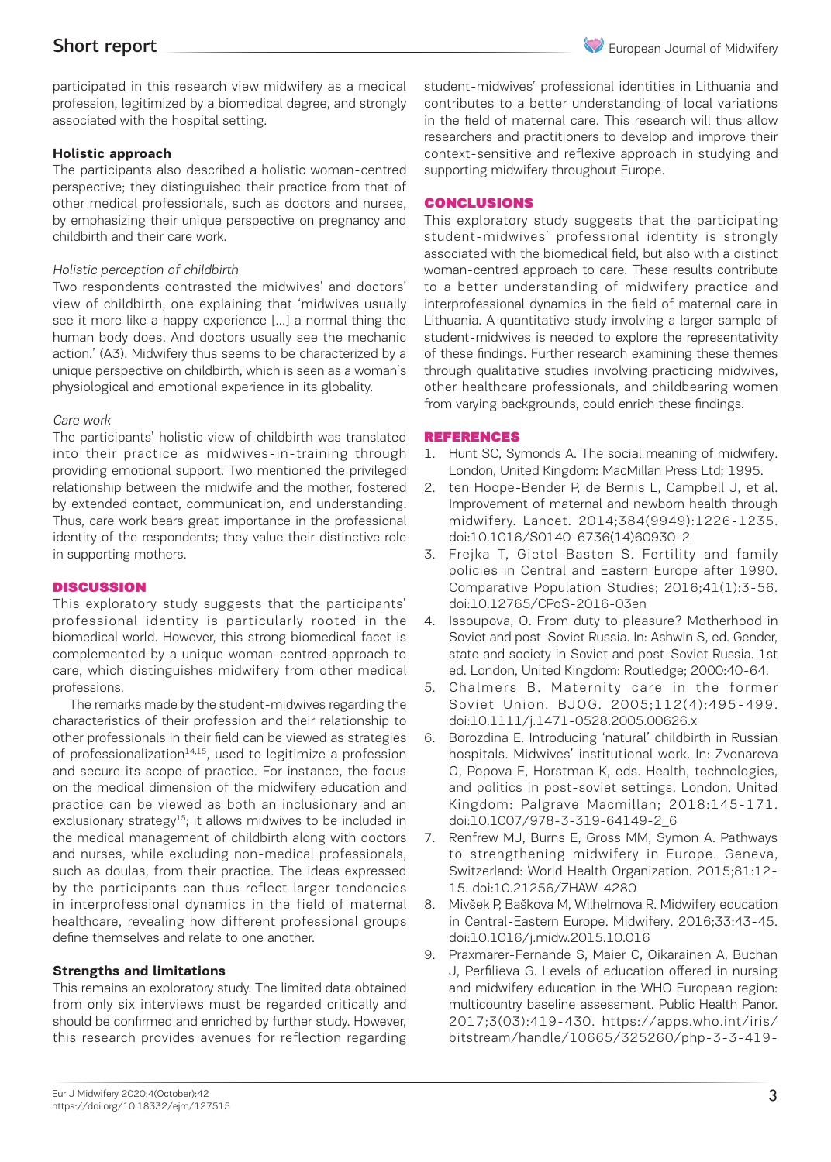participated in this research view midwifery as a medical profession, legitimized by a biomedical degree, and strongly associated with the hospital setting.

## **Holistic approach**

The participants also described a holistic woman-centred perspective; they distinguished their practice from that of other medical professionals, such as doctors and nurses, by emphasizing their unique perspective on pregnancy and childbirth and their care work.

## Holistic perception of childbirth

Two respondents contrasted the midwives' and doctors' view of childbirth, one explaining that 'midwives usually see it more like a happy experience […] a normal thing the human body does. And doctors usually see the mechanic action.' (A3). Midwifery thus seems to be characterized by a unique perspective on childbirth, which is seen as a woman's physiological and emotional experience in its globality.

## Care work

The participants' holistic view of childbirth was translated into their practice as midwives-in-training through providing emotional support. Two mentioned the privileged relationship between the midwife and the mother, fostered by extended contact, communication, and understanding. Thus, care work bears great importance in the professional identity of the respondents; they value their distinctive role in supporting mothers.

## **DISCUSSION**

This exploratory study suggests that the participants' professional identity is particularly rooted in the biomedical world. However, this strong biomedical facet is complemented by a unique woman-centred approach to care, which distinguishes midwifery from other medical professions.

The remarks made by the student-midwives regarding the characteristics of their profession and their relationship to other professionals in their field can be viewed as strategies of professionalization $14,15$ , used to legitimize a profession and secure its scope of practice. For instance, the focus on the medical dimension of the midwifery education and practice can be viewed as both an inclusionary and an exclusionary strategy<sup>15</sup>; it allows midwives to be included in the medical management of childbirth along with doctors and nurses, while excluding non-medical professionals, such as doulas, from their practice. The ideas expressed by the participants can thus reflect larger tendencies in interprofessional dynamics in the field of maternal healthcare, revealing how different professional groups define themselves and relate to one another.

## **Strengths and limitations**

This remains an exploratory study. The limited data obtained from only six interviews must be regarded critically and should be confirmed and enriched by further study. However, this research provides avenues for reflection regarding student-midwives' professional identities in Lithuania and contributes to a better understanding of local variations in the field of maternal care. This research will thus allow researchers and practitioners to develop and improve their context-sensitive and reflexive approach in studying and supporting midwifery throughout Europe.

## CONCLUSIONS

This exploratory study suggests that the participating student-midwives' professional identity is strongly associated with the biomedical field, but also with a distinct woman-centred approach to care. These results contribute to a better understanding of midwifery practice and interprofessional dynamics in the field of maternal care in Lithuania. A quantitative study involving a larger sample of student-midwives is needed to explore the representativity of these findings. Further research examining these themes through qualitative studies involving practicing midwives, other healthcare professionals, and childbearing women from varying backgrounds, could enrich these findings.

## REFERENCES

- 1. Hunt SC, Symonds A. The social meaning of midwifery. London, United Kingdom: MacMillan Press Ltd; 1995.
- 2. ten Hoope-Bender P, de Bernis L, Campbell J, et al. Improvement of maternal and newborn health through midwifery. Lancet. 2014;384(9949):1226-1235. doi:10.1016/S0140-6736(14)60930-2
- 3. Frejka T, Gietel-Basten S. Fertility and family policies in Central and Eastern Europe after 1990. Comparative Population Studies; 2016;41(1):3-56. doi:10.12765/CPoS-2016-03en
- 4. Issoupova, O. From duty to pleasure? Motherhood in Soviet and post-Soviet Russia. In: Ashwin S, ed. Gender, state and society in Soviet and post-Soviet Russia. 1st ed. London, United Kingdom: Routledge; 2000:40-64.
- 5. Chalmers B. Maternity care in the former Soviet Union. BJOG. 2005;112(4):495-499. doi:10.1111/j.1471-0528.2005.00626.x
- 6. Borozdina E. Introducing 'natural' childbirth in Russian hospitals. Midwives' institutional work. In: Zvonareva O, Popova E, Horstman K, eds. Health, technologies, and politics in post-soviet settings. London, United Kingdom: Palgrave Macmillan; 2018:145-171. doi:10.1007/978-3-319-64149-2\_6
- 7. Renfrew MJ, Burns E, Gross MM, Symon A. Pathways to strengthening midwifery in Europe. Geneva, Switzerland: World Health Organization. 2015;81:12- 15. doi:10.21256/ZHAW-4280
- 8. Mivšek P, Baškova M, Wilhelmova R. Midwifery education in Central-Eastern Europe. Midwifery. 2016;33:43-45. doi:10.1016/j.midw.2015.10.016
- 9. Praxmarer-Fernande S, Maier C, Oikarainen A, Buchan J, Perfilieva G. Levels of education offered in nursing and midwifery education in the WHO European region: multicountry baseline assessment. Public Health Panor. 2017;3(03):419-430. https://apps.who.int/iris/ bitstream/handle/10665/325260/php-3-3-419-